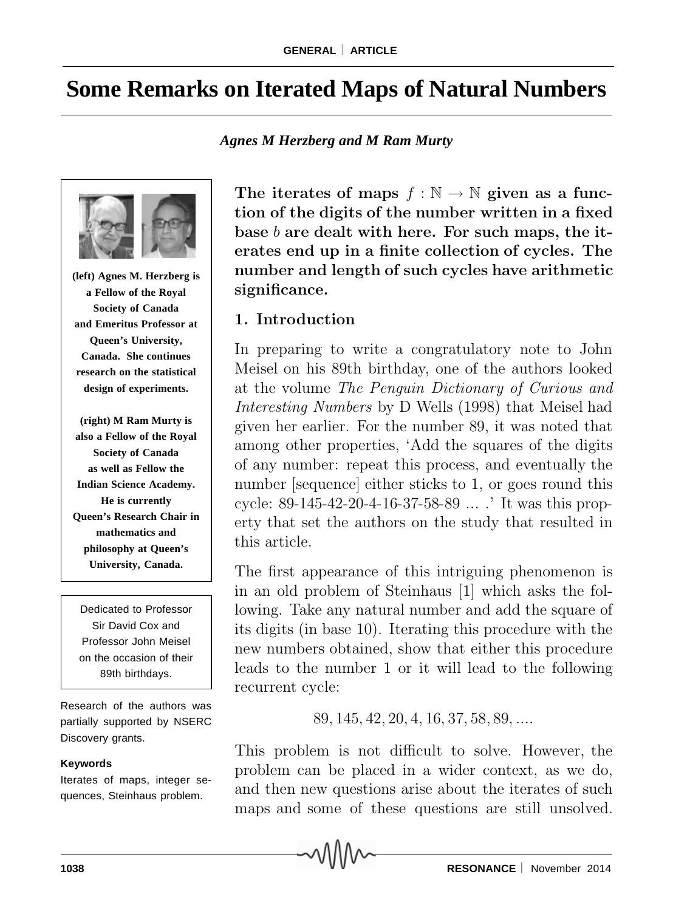# **Some Remarks on Iterated Maps of Natural Numbers**

*Agnes M Herzberg and M Ram Murty*



**(left) Agnes M. Herzberg is a Fellow of the Royal Society of Canada and Emeritus Professor at Queen's University, Canada. She continues research on the statistical design of experiments.**

**(right) M Ram Murty is also a Fellow of the Royal Society of Canada as well as Fellow the Indian Science Academy. He is currently Queen's Research Chair in mathematics and philosophy at Queen's University, Canada.**

Dedicated to Professor Sir David Cox and Professor John Meisel on the occasion of their 89th birthdays.

Research of the authors was partially supported by NSERC Discovery grants.

#### **Keywords**

Iterates of maps, integer sequences, Steinhaus problem.

The iterates of maps  $f : \mathbb{N} \to \mathbb{N}$  given as a func**tion of the digits of the number written in a fixed base** *b* **are dealt with here. For such maps, the iterates end up in a finite collection of cycles. The number and length of such cycles have arithmetic significance.**

### **1. Introduction**

In preparing to write a congratulatory note to John Meisel on his 89th birthday, one of the authors looked at the volume *The Penguin Dictionary of Curious and Interesting Numbers* by D Wells (1998) that Meisel had given her earlier. For the number 89, it was noted that among other properties, 'Add the squares of the digits of any number: repeat this process, and eventually the number [sequence] either sticks to 1, or goes round this cycle: 89-145-42-20-4-16-37-58-89 ... .' It was this property that set the authors on the study that resulted in this article.

The first appearance of this intriguing phenomenon is in an old problem of Steinhaus [1] which asks the following. Take any natural number and add the square of its digits (in base 10). Iterating this procedure with the new numbers obtained, show that either this procedure leads to the number 1 or it will lead to the following recurrent cycle:

89*,* 145*,* 42*,* 20*,* 4*,* 16*,* 37*,* 58*,* 89*,....*

This problem is not difficult to solve. However, the problem can be placed in a wider context, as we do, and then new questions arise about the iterates of such maps and some of these questions are still unsolved.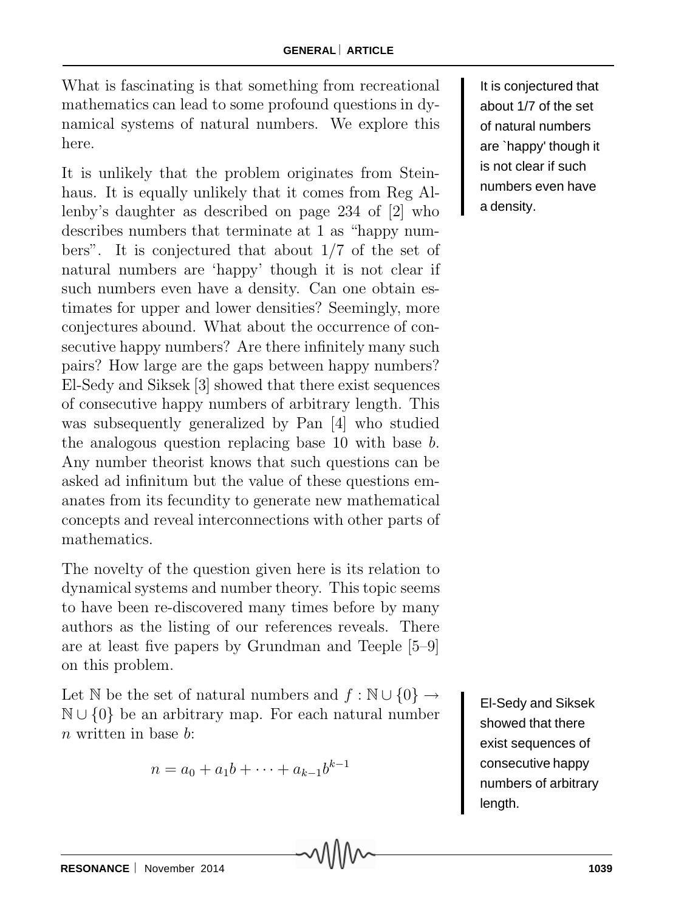What is fascinating is that something from recreational mathematics can lead to some profound questions in dynamical systems of natural numbers. We explore this here.

It is unlikely that the problem originates from Steinhaus. It is equally unlikely that it comes from Reg Allenby's daughter as described on page 234 of [2] who describes numbers that terminate at 1 as "happy numbers". It is conjectured that about 1/7 of the set of natural numbers are 'happy' though it is not clear if such numbers even have a density. Can one obtain estimates for upper and lower densities? Seemingly, more conjectures abound. What about the occurrence of consecutive happy numbers? Are there infinitely many such pairs? How large are the gaps between happy numbers? El-Sedy and Siksek [3] showed that there exist sequences of consecutive happy numbers of arbitrary length. This was subsequently generalized by Pan [4] who studied the analogous question replacing base 10 with base *b*. Any number theorist knows that such questions can be asked ad infinitum but the value of these questions emanates from its fecundity to generate new mathematical concepts and reveal interconnections with other parts of mathematics.

The novelty of the question given here is its relation to dynamical systems and number theory. This topic seems to have been re-discovered many times before by many authors as the listing of our references reveals. There are at least five papers by Grundman and Teeple [5–9] on this problem.

Let N be the set of natural numbers and  $f : \mathbb{N} \cup \{0\} \rightarrow$ <sup>N</sup> ∪ {0} be an arbitrary map. For each natural number *n* written in base *b*:

$$
n = a_0 + a_1b + \dots + a_{k-1}b^{k-1}
$$

It is conjectured that about 1/7 of the set of natural numbers are `happy' though it is not clear if such numbers even have a density.

El-Sedy and Siksek showed that there exist sequences of consecutive happy numbers of arbitrary length.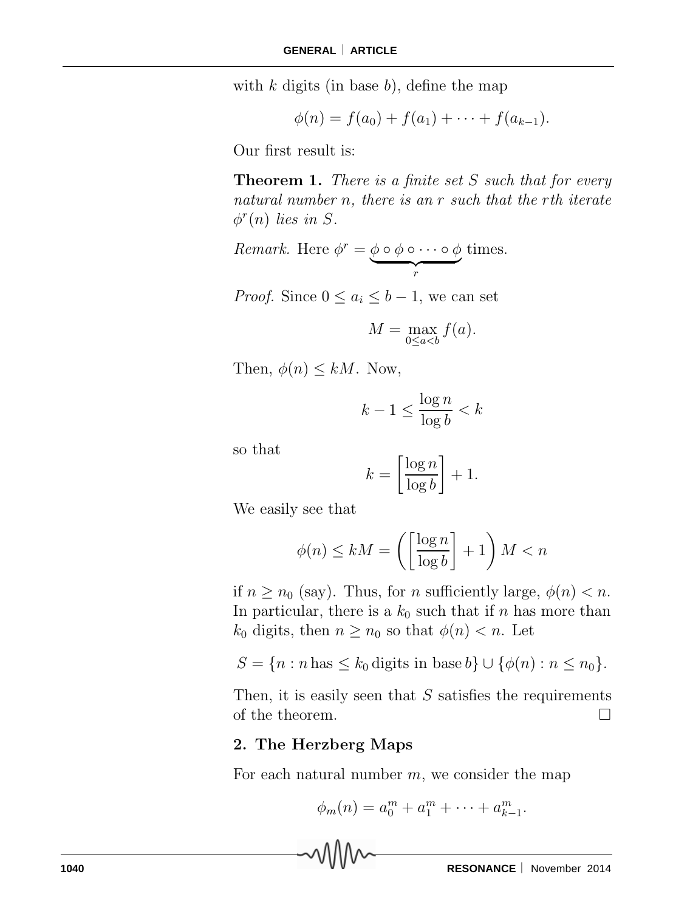with *k* digits (in base *b*), define the map

$$
\phi(n) = f(a_0) + f(a_1) + \cdots + f(a_{k-1}).
$$

Our first result is:

**Theorem 1.** *There is a finite set S such that for every natural number n, there is an r such that the rth iterate*  $\phi^{r}(n)$  *lies in S.* 

*Remark.* Here  $\phi^r = \phi \circ \phi \circ \cdots \circ \phi$ - *<sup>r</sup>* times.

*Proof.* Since  $0 \leq a_i \leq b-1$ , we can set

$$
M = \max_{0 \le a < b} f(a).
$$

Then,  $\phi(n) \leq kM$ . Now,

$$
k - 1 \le \frac{\log n}{\log b} < k
$$

so that

$$
k = \left[\frac{\log n}{\log b}\right] + 1.
$$

We easily see that

$$
\phi(n) \le kM = \left( \left[ \frac{\log n}{\log b} \right] + 1 \right) M < n
$$

if  $n \geq n_0$  (say). Thus, for *n* sufficiently large,  $\phi(n) < n$ . In particular, there is a  $k_0$  such that if  $n$  has more than *k*<sub>0</sub> digits, then  $n \geq n_0$  so that  $\phi(n) < n$ . Let

$$
S = \{n : n \text{ has } \leq k_0 \text{ digits in base } b\} \cup \{\phi(n) : n \leq n_0\}.
$$

Then, it is easily seen that *S* satisfies the requirements of the theorem.  $\Box$ 

#### **2. The Herzberg Maps**

For each natural number *m*, we consider the map

$$
\phi_m(n) = a_0^m + a_1^m + \dots + a_{k-1}^m.
$$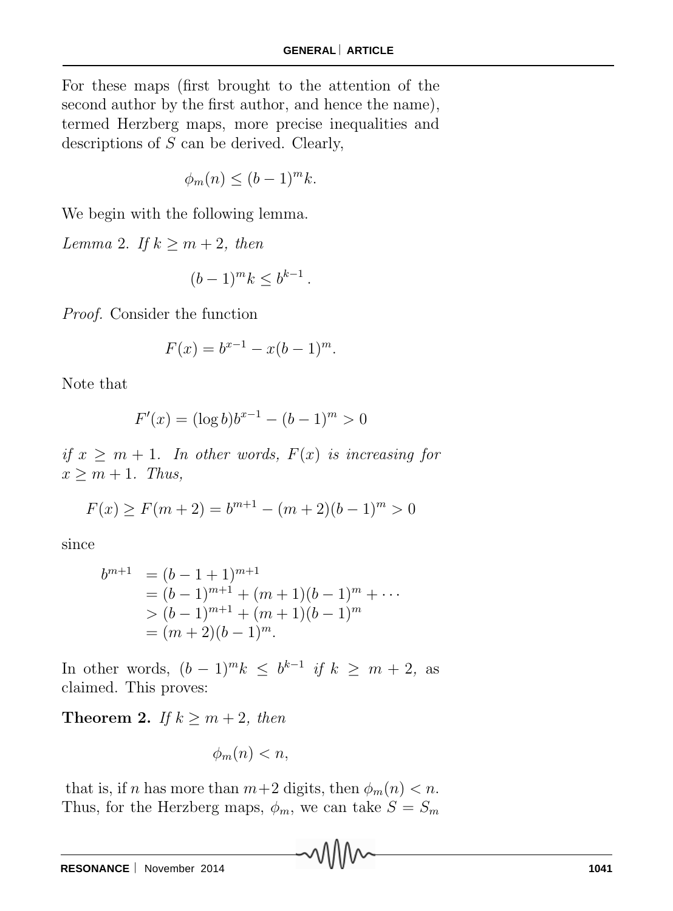For these maps (first brought to the attention of the second author by the first author, and hence the name), termed Herzberg maps, more precise inequalities and descriptions of *S* can be derived. Clearly,

$$
\phi_m(n) \le (b-1)^m k.
$$

We begin with the following lemma.

*Lemma* 2. *If*  $k \ge m + 2$ *, then* 

$$
(b-1)^m k \le b^{k-1}.
$$

*Proof.* Consider the function

$$
F(x) = b^{x-1} - x(b-1)^m.
$$

Note that

$$
F'(x) = (\log b)b^{x-1} - (b-1)^m > 0
$$

*if*  $x \geq m + 1$ *. In other words,*  $F(x)$  *is increasing for*  $x \geq m + 1$ *. Thus,* 

$$
F(x) \ge F(m+2) = b^{m+1} - (m+2)(b-1)^m > 0
$$

since

$$
b^{m+1} = (b-1+1)^{m+1}
$$
  
=  $(b-1)^{m+1} + (m+1)(b-1)^m + \cdots$   
>  $(b-1)^{m+1} + (m+1)(b-1)^m$   
=  $(m+2)(b-1)^m$ .

In other words,  $(b-1)^m k$  ≤  $b^{k-1}$  *if*  $k \geq m+2$ , as claimed. This proves:

**Theorem 2.** *If*  $k \ge m+2$ *, then* 

$$
\phi_m(n) < n,
$$

that is, if *n* has more than  $m+2$  digits, then  $\phi_m(n) < n$ . Thus, for the Herzberg maps,  $\phi_m$ , we can take  $S = S_m$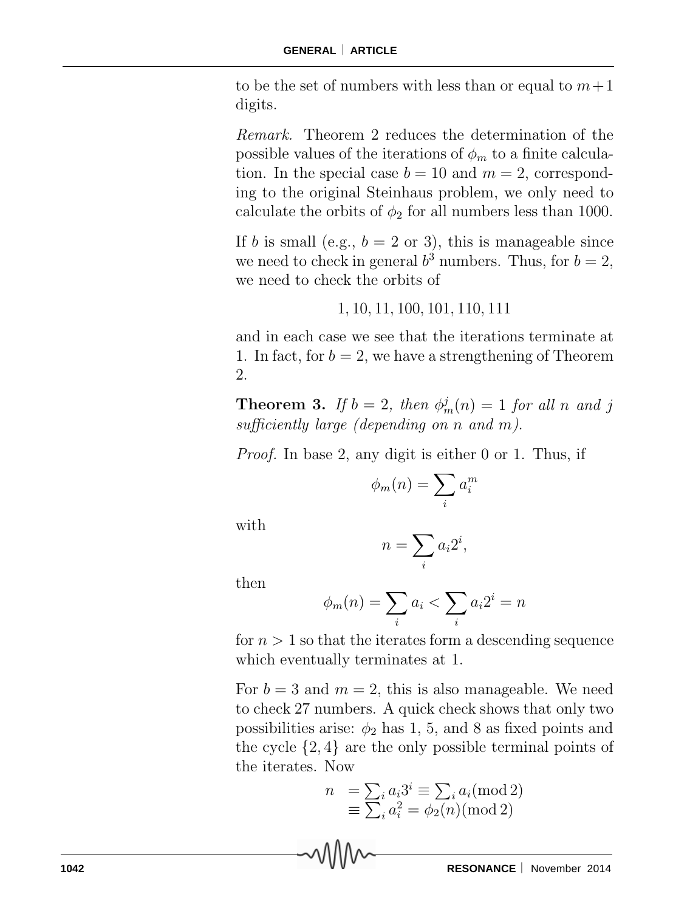to be the set of numbers with less than or equal to  $m+1$ digits.

*Remark.* Theorem 2 reduces the determination of the possible values of the iterations of  $\phi_m$  to a finite calculation. In the special case  $b = 10$  and  $m = 2$ , corresponding to the original Steinhaus problem, we only need to calculate the orbits of  $\phi_2$  for all numbers less than 1000.

If *b* is small (e.g.,  $b = 2$  or 3), this is manageable since we need to check in general  $b^3$  numbers. Thus, for  $b = 2$ , we need to check the orbits of

### 1*,* 10*,* 11*,* 100*,* 101*,* 110*,* 111

and in each case we see that the iterations terminate at 1. In fact, for  $b = 2$ , we have a strengthening of Theorem 2.

**Theorem 3.** *If*  $b = 2$ *, then*  $\phi_m^j(n) = 1$  *for all n and j sufficiently large (depending on n and m)*.

*Proof.* In base 2, any digit is either 0 or 1. Thus, if

$$
\phi_m(n) = \sum_i a_i^m
$$

with

$$
n = \sum_i a_i 2^i,
$$

then

$$
\phi_m(n) = \sum_i a_i < \sum_i a_i 2^i = n
$$

for  $n > 1$  so that the iterates form a descending sequence which eventually terminates at 1.

For  $b = 3$  and  $m = 2$ , this is also manageable. We need to check 27 numbers. A quick check shows that only two possibilities arise:  $\phi_2$  has 1, 5, and 8 as fixed points and the cycle {2*,* 4} are the only possible terminal points of the iterates. Now

$$
n = \sum_{i} a_i 3^i \equiv \sum_{i} a_i \pmod{2}
$$

$$
\equiv \sum_{i} a_i^2 = \phi_2(n) \pmod{2}
$$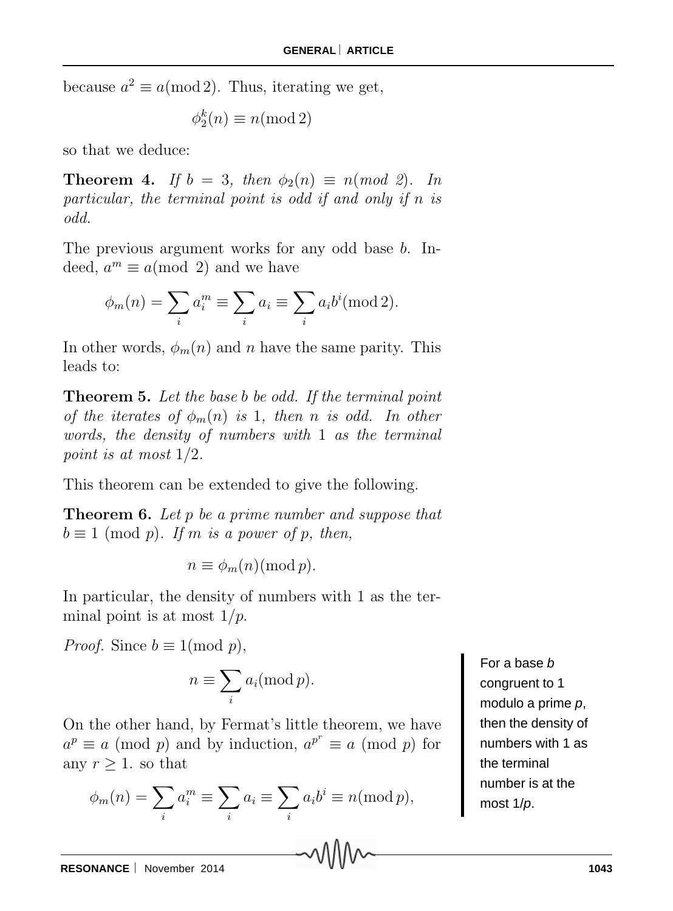because  $a^2 \equiv a \pmod{2}$ . Thus, iterating we get,

$$
\phi_2^k(n) \equiv n \text{ (mod 2)}
$$

so that we deduce:

**Theorem 4.** *If*  $b = 3$ *, then*  $\phi_2(n) \equiv n \pmod{2}$ *. In particular, the terminal point is odd if and only if n is odd.*

The previous argument works for any odd base *b*. Indeed,  $a^m \equiv a \pmod{2}$  and we have

$$
\phi_m(n) = \sum_i a_i^m \equiv \sum_i a_i \equiv \sum_i a_i b^i \pmod{2}.
$$

In other words,  $\phi_m(n)$  and *n* have the same parity. This leads to:

**Theorem 5.** *Let the base b be odd. If the terminal point of the iterates of*  $\phi_m(n)$  *is* 1*, then n is odd.* In other *words, the density of numbers with* 1 *as the terminal point is at most* 1*/*2*.*

This theorem can be extended to give the following.

**Theorem 6.** *Let p be a prime number and suppose that*  $b \equiv 1 \pmod{p}$ *. If m is a power of p, then,* 

 $n \equiv \phi_m(n) \pmod{p}$ .

In particular, the density of numbers with 1 as the terminal point is at most 1*/p*.

*Proof.* Since  $b \equiv 1 \pmod{p}$ ,

$$
n \equiv \sum_i a_i \pmod{p}.
$$

On the other hand, by Fermat's little theorem, we have  $a^p \equiv a \pmod{p}$  and by induction,  $a^{p^r} \equiv a \pmod{p}$  for any  $r > 1$ . so that

$$
\phi_m(n) = \sum_i a_i^m \equiv \sum_i a_i \equiv \sum_i a_i b^i \equiv n \pmod{p},
$$

For a base *b* congruent to 1 modulo a prime *p*, then the density of numbers with 1 as the terminal number is at the most 1/*p*.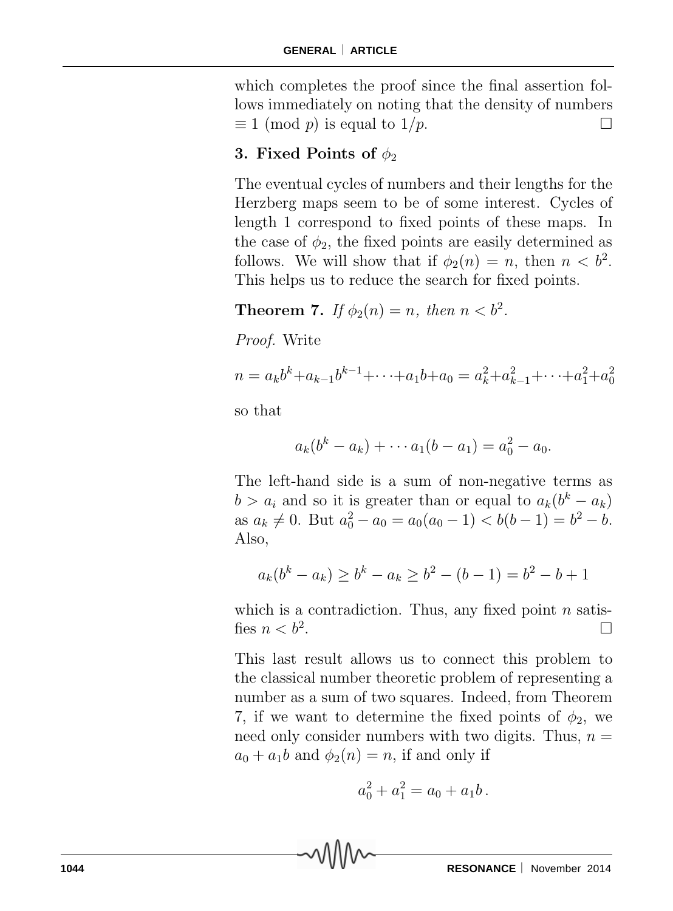which completes the proof since the final assertion follows immediately on noting that the density of numbers  $\equiv 1 \pmod{p}$  is equal to  $1/p$ .

# **3. Fixed Points of**  $\phi_2$

The eventual cycles of numbers and their lengths for the Herzberg maps seem to be of some interest. Cycles of length 1 correspond to fixed points of these maps. In the case of  $\phi_2$ , the fixed points are easily determined as follows. We will show that if  $\phi_2(n) = n$ , then  $n < b^2$ . This helps us to reduce the search for fixed points.

**Theorem 7.** *If*  $\phi_2(n) = n$ *, then*  $n < b^2$ *.* 

*Proof.* Write

$$
n = a_k b^k + a_{k-1} b^{k-1} + \dots + a_1 b + a_0 = a_k^2 + a_{k-1}^2 + \dots + a_1^2 + a_0^2
$$

so that

$$
a_k(b^k - a_k) + \cdots + a_1(b - a_1) = a_0^2 - a_0.
$$

The left-hand side is a sum of non-negative terms as  $b > a_i$  and so it is greater than or equal to  $a_k(b^k - a_k)$  $a_8 a_k \neq 0$ . But  $a_0^2 - a_0 = a_0(a_0 - 1) < b(b - 1) = b^2 - b$ . Also,

$$
a_k(b^k - a_k) \ge b^k - a_k \ge b^2 - (b - 1) = b^2 - b + 1
$$

which is a contradiction. Thus, any fixed point *n* satisfies  $n < b^2$ .

This last result allows us to connect this problem to the classical number theoretic problem of representing a number as a sum of two squares. Indeed, from Theorem 7, if we want to determine the fixed points of  $\phi_2$ , we need only consider numbers with two digits. Thus,  $n =$  $a_0 + a_1b$  and  $\phi_2(n) = n$ , if and only if

$$
a_0^2 + a_1^2 = a_0 + a_1b.
$$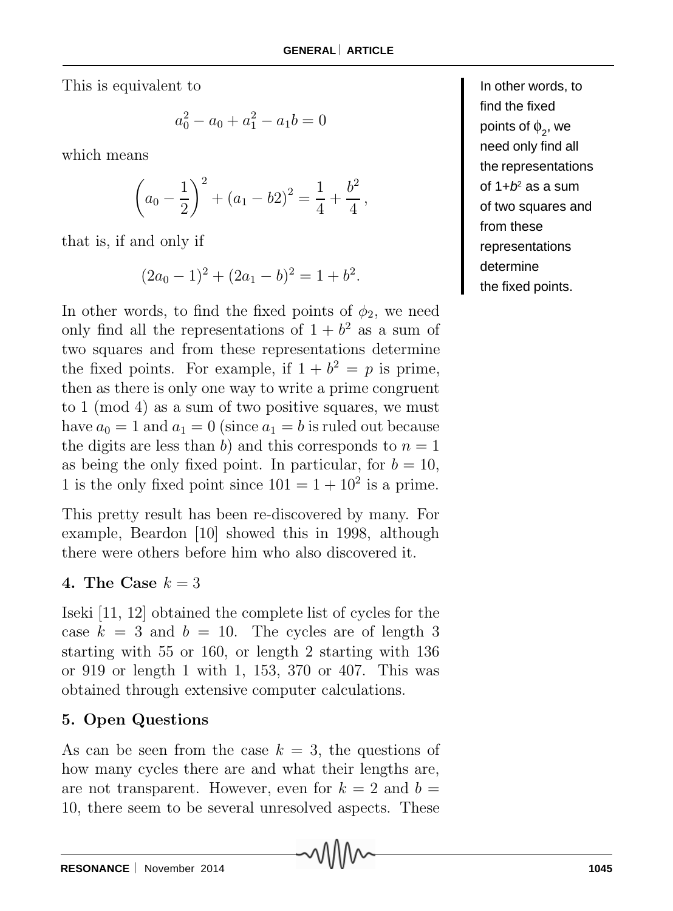This is equivalent to

$$
a_0^2 - a_0 + a_1^2 - a_1 b = 0
$$

which means

$$
\left(a_0 - \frac{1}{2}\right)^2 + \left(a_1 - b2\right)^2 = \frac{1}{4} + \frac{b^2}{4},
$$

that is, if and only if

$$
(2a_0-1)^2 + (2a_1 - b)^2 = 1 + b^2.
$$

In other words, to find the fixed points of  $\phi_2$ , we need only find all the representations of  $1 + b^2$  as a sum of two squares and from these representations determine the fixed points. For example, if  $1 + b^2 = p$  is prime, then as there is only one way to write a prime congruent to 1 (mod 4) as a sum of two positive squares, we must have  $a_0 = 1$  and  $a_1 = 0$  (since  $a_1 = b$  is ruled out because the digits are less than *b*) and this corresponds to  $n = 1$ as being the only fixed point. In particular, for  $b = 10$ , 1 is the only fixed point since  $101 = 1 + 10^2$  is a prime.

This pretty result has been re-discovered by many. For example, Beardon [10] showed this in 1998, although there were others before him who also discovered it.

### **4.** The Case  $k = 3$

Iseki [11, 12] obtained the complete list of cycles for the case  $k = 3$  and  $b = 10$ . The cycles are of length 3 starting with 55 or 160, or length 2 starting with 136 or 919 or length 1 with 1, 153, 370 or 407. This was obtained through extensive computer calculations.

## **5. Open Questions**

As can be seen from the case  $k = 3$ , the questions of how many cycles there are and what their lengths are, are not transparent. However, even for  $k = 2$  and  $b =$ 10, there seem to be several unresolved aspects. These

In other words, to find the fixed points of  $\phi_2^{\vphantom{\dagger}}$ , we need only find all the representations of  $1+b^2$  as a sum of two squares and from these representations determine the fixed points.